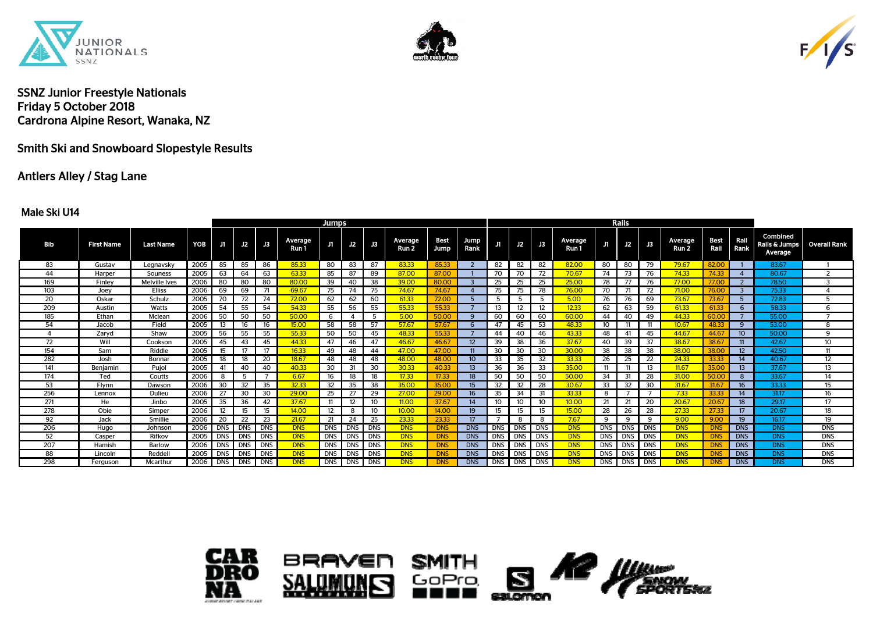





# Smith Ski and Snowboard Slopestyle Results

### Antlers Alley / Stag Lane

#### Male Ski U14

|     |                   |                      |      |            |            |            | <b>Jumps</b>     |                   |            |                |                             |                     |                   |            |    |                |                  | Rails      |            |            |                  |              |                  |                                             |                     |
|-----|-------------------|----------------------|------|------------|------------|------------|------------------|-------------------|------------|----------------|-----------------------------|---------------------|-------------------|------------|----|----------------|------------------|------------|------------|------------|------------------|--------------|------------------|---------------------------------------------|---------------------|
| Bib | <b>First Name</b> | <b>Last Name</b>     | YOB  | J1         | J2         | J3         | Average<br>Run 1 | J1                |            | $J2$ $J3$      | Average<br>Run <sub>2</sub> | <b>Best</b><br>Jump | Jump<br>Rank      | J1.        | J2 | $\mathbf{J}$ 3 | Average<br>Run 1 | J1         | J2         | J3         | Average<br>Run 2 | Best<br>Rail | Rail<br>Rank     | <b>Combined</b><br>Rails & Jumps<br>Average | <b>Overall Rank</b> |
| 83  | Gustav            | Legnavsky            | 2005 | 85         | 85         | 86         | 85.33            | 80                | 83         | 87             | 83.33                       | 85.33               |                   | 82         | 82 | 82             | 82.00            | 80         | 80         | 79         | 79.67            | 82.00        |                  | 83.67                                       |                     |
| 44  | Harper            | Souness              | 2005 | -63        | 64         | 63         | 63.33            | 85                | 87         | 89             | 87.00                       | 87.00               |                   | 70         | 70 | 72             | 70.67            | 74         | 73         | - 76       | 74.33            | 74.33        |                  | 80.67                                       | 2                   |
| 169 | Finley            | <b>Melville Ives</b> | 2006 | 80         | 80         | 80         | 80.00            | 39                | 40         | 38             | 39.00                       | 80.00               |                   | 25         | 25 | 25             | 25.00            | 78         | 77         | - 76       | 77.00            | 77.00        | -2               | 78.50                                       | 3                   |
| 103 | Joey              | <b>Elliss</b>        | 2006 | 69         | 69         | 71         | 69.67            | 75                | 74         | 75             | 74.67                       | 74.67               |                   | 75         | 75 | 78             | 76.00            | 70         |            | 72         | 71.00            | 76.00        |                  | 75.33                                       |                     |
| 20  | Oskar             | Schulz               | 2005 | 70         | 72         | 74         | 72.00            | 62                | 62         | 60             | 61.33                       | 72.00               |                   |            |    | -5             | 5.00             | 76         | 76         | 69         | 73.67            | 73.67        |                  | 72.83                                       | -5                  |
| 209 | Austin            | Watts                | 2005 | 54         | 55         | 54         | 54.33            | 55                | 56         | 55             | 55.33                       | 55.33               |                   | 13         | 12 | 12             | 12.33            | 62         | 63         | 59         | 61.33            | 61.33        | 6                | 58.33                                       | -6                  |
| 185 | Ethan             | Mclean               | 2006 | 50         | 50         | 50         | 50.00            | 6                 |            | -5             | 5.00                        | 50.00               |                   | 60         | 60 | 60             | 60.00            | 44         | 40         | 49         | 44.33            | 60.00        |                  | 55.00                                       |                     |
| 54  | Jacob             | Field                | 2005 | 13         | 16         | 16         | 15.00            | 58                | 58         | 57             | 57.67                       | 57.67               |                   | 47         | 45 | 53             | 48.33            | 10         |            | -11        | 10.67            | 48.33        | 9                | 53.00                                       | 8                   |
|     | Zaryd             | Shaw                 | 2005 | 56         | 55         | 55         | 55.33            | 50                | 50         | 45             | 48.33                       | 55.33               |                   | 44         | 40 | 46             | 43.33            | 48         | 41         | -45        | 44.67            | 44.67        | 10 <sup>°</sup>  | 50.00                                       | -9                  |
| 72  | Will              | Cookson              | 2005 | 45         | 43         | 45         | 44.33            | 47                | 46         | 47             | 46.67                       | 46.67               | $12 \overline{ }$ | 39         | 38 | 36             | 37.67            | 40         | 39         | 37         | 38.67            | 38.67        | 11               | 42.67                                       | 10                  |
| 154 | Sam               | Riddle               | 2005 | 15         |            | 17         | 16.33            | 49                | 48         | 44             | 47.00                       | 47.00               |                   | 30         | 30 | 30             | 30.00            | 38         | 38         | -38        | 38.00            | 38.00        | 12 <sup>2</sup>  | 42.50                                       | 11                  |
| 282 | Josh              | Bonnar               | 2005 | 18         | 18         | 20         | 18.67            | 48                | 48         | 48             | 48.00                       | 48.00               |                   | 33         | 35 | 32             | 33.33            | 26         | 25         | 22         | 24.33            | 33.33        | 14               | 40.67                                       | $12 \overline{ }$   |
| 141 | Beniamin          | Pujol                | 2005 | 41         | 40         | 40         | 40.33            | 30                | 31         | 30             | 30.33                       | 40.33               |                   | 36         | 36 | 33             | 35.00            |            |            | 13         | 11.67            | 35.00        | 13 <sup>13</sup> | 37.67                                       | 13                  |
| 174 | Ted               | Coutts               | 2006 | -8         | 5          |            | 6.67             | 16                | 18         | 18             | 17.33                       | 17.33               | 18                | 50         | 50 | 50             | 50.00            | 34         | -31        | - 28       | 31.00            | 50.00        | 8                | 33.67                                       | $\overline{14}$     |
| 53  | Flynn             | Dawson               | 2006 | 30         | 32         | 35         | 32.33            | 32                | 35         | 38             | 35.00                       | 35.00               | 15                | 32         | 32 | 28             | 30.67            | 33         | 32         | 30         | 31.67            | 31.67        | 16 <sup>16</sup> | 33.33                                       | 15                  |
| 256 | Lennox            | Dulieu               | 2006 | 27         | 30         | 30         | 29.00            | 25                | 27         | 29             | 27.00                       | 29.00               | 16                | 35         | 34 | 31             | 33.33            |            |            |            | 7.33             | 33.33        | 14               | 31.17                                       | 16                  |
| 271 | He                | Jinbo                | 2005 | 35         | 36         | 42         | 37.67            |                   | 12         | 10             | 11.00                       | 37.67               | 14                | 10         | 10 | 10             | 10.00            | 21         | 21         | - 20       | 20.67            | 20.67        | 18 <sup>2</sup>  | 29.17                                       | 17                  |
| 278 | Obie              | Simper               | 2006 | 12         | 15         | 15         | 14.00            | $12 \overline{ }$ | 8          | 10             | 10.00                       | 14.00               | 19                | 15         | 15 | 15             | 15.00            | 28         | 26         | - 28       | 27.33            | 27.33        | 17 <sup>2</sup>  | 20.67                                       | 18                  |
| 92  | Jack              | Smillie              | 2006 | 20         | 22         | 23         | 21.67            | 21                | 24         | 25             | 23.33                       | 23.33               |                   |            | 8  | 8              | 7.67             | -9         | ٠q         | 9          | 9.00             | 9.00         | 19 <sup>°</sup>  | 16.17                                       | 19                  |
| 206 | Hugo              | Johnson              | 2006 | <b>DNS</b> | <b>DNS</b> | <b>DNS</b> | <b>DNS</b>       | DNS I             |            | DNS DNS        | <b>DNS</b>                  | <b>DNS</b>          | <b>DNS</b>        | <b>DNS</b> |    | DNS IDNS       | <b>DNS</b>       | <b>DNS</b> |            | DNS DNS    | <b>DNS</b>       | <b>DNS</b>   | <b>DNS</b>       | <b>DNS</b>                                  | <b>DNS</b>          |
| 52  | Casper            | Rifkov               | 2005 | <b>DNS</b> | DNS DNS    |            | <b>DNS</b>       | <b>DNS</b>        |            | DNS <b>DNS</b> | <b>DNS</b>                  | <b>DNS</b>          | <b>DNS</b>        | <b>DNS</b> |    | DNS IDNS       | <b>DNS</b>       | <b>DNS</b> | DNS DNS    |            | <b>DNS</b>       | <b>DNS</b>   | <b>DNS</b>       | <b>DNS</b>                                  | <b>DNS</b>          |
| 207 | Hamish            | Barlow               | 2006 | <b>DNS</b> | <b>DNS</b> | <b>DNS</b> | <b>DNS</b>       | DNS I             | <b>DNS</b> | <b>I</b> DNS   | <b>DNS</b>                  | <b>DNS</b>          | <b>DNS</b>        | <b>DNS</b> |    | DNS DNS        | <b>DNS</b>       | <b>DNS</b> | <b>DNS</b> | <b>DNS</b> | <b>DNS</b>       | <b>DNS</b>   | <b>DNS</b>       | <b>DNS</b>                                  | <b>DNS</b>          |
| 88  | Lincoln           | Reddell              | 2005 | <b>DNS</b> | DNS DNS    |            | <b>DNS</b>       | DNS <b>D</b>      | <b>DNS</b> | <b>DNS</b>     | <b>DNS</b>                  | <b>DNS</b>          | <b>DNS</b>        | <b>DNS</b> |    | DNS IDNS       | <b>DNS</b>       | <b>DNS</b> | <b>DNS</b> | <b>DNS</b> | <b>DNS</b>       | <b>DNS</b>   | <b>DNS</b>       | <b>DNS</b>                                  | <b>DNS</b>          |
| 298 | Ferguson          | Mcarthur             | 2006 | DNS        | DNS DNS    |            | <b>DNS</b>       | DNS I             |            | DNS DNS        | <b>DNS</b>                  | <b>DNS</b>          | <b>DNS</b>        | <b>DNS</b> |    | DNS DNS        | <b>DNS</b>       | <b>DNS</b> | <b>DNS</b> | <b>DNS</b> | <b>DNS</b>       | <b>DNS</b>   | <b>DNS</b>       | <b>DNS</b>                                  | <b>DNS</b>          |

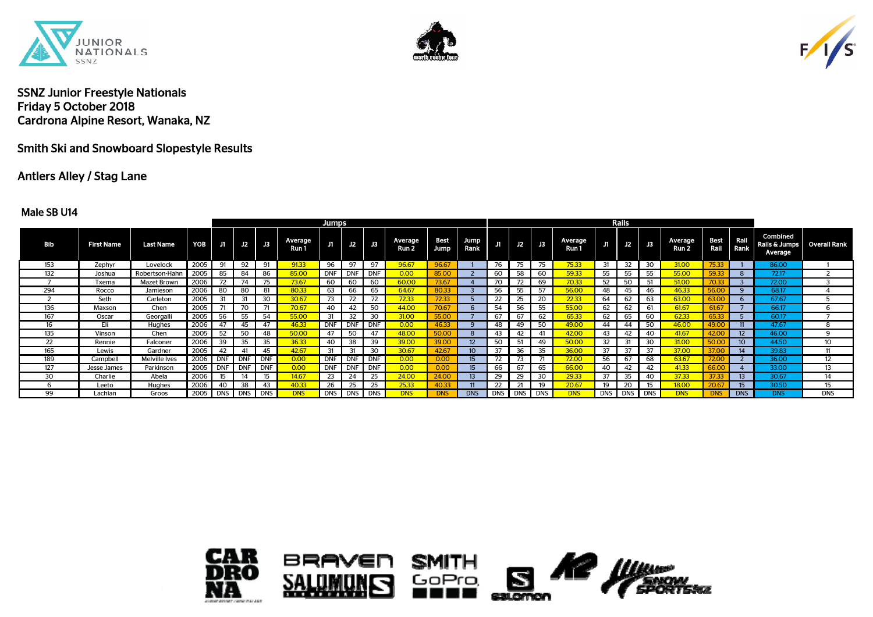





# Smith Ski and Snowboard Slopestyle Results

## Antlers Alley / Stag Lane

#### Male SB U14

|            |                   |                      |                  |            |            |            |                  | <b>Jumps</b> |            |            |                  |              |              |     |    |         |                  |    | Rails   |     |                             |                        |                 |                                             |                   |
|------------|-------------------|----------------------|------------------|------------|------------|------------|------------------|--------------|------------|------------|------------------|--------------|--------------|-----|----|---------|------------------|----|---------|-----|-----------------------------|------------------------|-----------------|---------------------------------------------|-------------------|
| <b>Bib</b> | <b>First Name</b> | <b>Last Name</b>     | YOB <sub>I</sub> | J1         | J2         | J3         | Average<br>Run 1 | J1           |            | $J2$ $J3$  | Average<br>Run 2 | Best<br>Jump | Jump<br>Rank |     | J2 | J3      | Average<br>Run 1 | Л  | J2      | J3  | Average<br>Run <sub>2</sub> | Best Rail<br>Rail Rank |                 | Combined<br>Rails & Jumps<br><b>Average</b> | Overall Rank      |
| 153        | Zephyr            | Lovelock             | 2005             | 91         | 92         | 91         | 91.33            | 96           | 97         | 97         | 96.67            | 96.67        |              | 76  | 75 | 75      | 75.33            | 31 | 32      | 30  | 31.00                       | 75.33                  |                 | 86.00                                       |                   |
| 132        | Joshua            | Robertson-Hahn       | 2005             | 85         | 84         | 86         | 85.00            | DNF          | <b>DNF</b> | <b>DNF</b> | 0.00             |              |              | 60  | 58 | 60      | 59.33            | 55 | 55      | 55  | 55.00                       | 59.33                  |                 | 72.17                                       |                   |
|            | Txema             | <b>Mazet Brown</b>   | 2006             |            | 74         | 75         | 73.67            | 60           | 60         | 60         | 60.00            | 73.67        |              |     | 72 | 69      | 70.33            | 52 | -50     | -51 | 51.00                       |                        |                 | 72.00                                       |                   |
| 294        | Rocco             | Jamieson             | 2006             | 80         | -80        | 81         | 80.33            | 63           | 66         | 65         | 64.67            | 80.33        |              | 56  | 55 | 57      | 56.00            | 48 | 45      | 46  | 46.33                       | 56.00                  | 9               | 68.17                                       |                   |
|            | Seth              | Carleton             | 2005             | 31         | 31         | 30         | 30.67            | 73           |            | 72         | 72.33            | 72.33        |              | 22  | 25 | 20      | 22.33            | 64 | 62      | 63  | 63.00                       | 63.00                  |                 | 67.67                                       |                   |
| 136        | Maxson            | Chen                 | 2005             |            | 70         | 71         | 70.67            | 40           | 42         | 50         | 44.00            | 70.67        |              | 54  | 56 | 55      | 55.00            | 62 | 62      | 61  | 61.67                       | 61.67                  |                 | 66.17                                       |                   |
| 167        | Oscar             | Georgalli            | 2005             | 56         | 55         | 54         | 55.00            | 31           | 32         | 30         | 31.00            | 55.00        |              | 67  | 67 | 62      | 65.33            | 62 | 65      | 60  | 62.33                       | 65.33                  |                 | 60.17                                       |                   |
| 16         | Eli               | Hughes               | 2006             | 47         | 45         | 47         | 46.33            | <b>DNF</b>   |            | <b>DNF</b> | 0.00             | 46.33        |              | 48  | 49 | 50      | 49.00            | 44 | 44      | 50  | 46.00                       | 49.00                  |                 | 47.67                                       | 8                 |
| 135        | Vinson            | Chen                 | 2005             | 52         | 50         | 48         | <b>50.00</b>     | 47           | 50         | 47         | 48.00            | <b>50.00</b> |              | 43  | 42 | 41      | 42.00            | 43 | 42      | 40  | 41.67                       | 42.00                  |                 | 46.00                                       | 9                 |
| 22         | Rennie            | Falconer             | 2006             | 39         | 35         | 35         | 36.33            | 40           | 38         | 39         | 39.00            | 39.00        |              | 50  |    | 49      | 50.00            | 32 | 31      | 30  | 31.00                       | 50.00                  | 10 <sup>°</sup> | 44.50                                       | 10                |
| 165        | Lewis             | Gardner              | 2005             | 42         | 41         | 45         | 42.67            | 31           | 31         | 30         | 30.67            | 42.67        |              | 37  | 36 | 35      | 36.00            | 37 | 37      | 37  | 37.00                       | 37.00                  | 14              | 39.83                                       | 11                |
| 189        | Campbell          | <b>Melville Ives</b> | 2006             | <b>DNF</b> | <b>DNF</b> | <b>DNF</b> | 0.00             | DNF          | <b>DNF</b> | <b>DNF</b> | 0.00             | 0.00         | 15.          | 72  | 73 | -71     | 72.00            | 56 | 67      | 68  | 63.67                       | 72.00                  |                 | 36.00                                       | $12 \overline{ }$ |
| 127        | Jesse James       | Parkinson            | 2005             | <b>DNF</b> | <b>DNF</b> | <b>DNF</b> | 0.00             | DNF          | DNI        | <b>DNF</b> | 0.00             | 0.00         | 15.          | 66  | 67 | 65      | 66.00            | 40 | 42      | 42  | 41.33                       | 66.0                   |                 | 33.00                                       | 13                |
| 30         | Charlie           | Abela                | 2006             | 15         | 14         | 15         | 14.67            | 23           | 24         | 25         | 24.00            | 24.00        |              | -29 | 29 | 30      | 29.33            | 37 | 35      | 40  | 37.33                       | 37.33                  | 13              | 30.67                                       | 14                |
|            | Leeto             | <b>Hughes</b>        | 2006             | 40         | 38         | 43         | 40.33            | 26           | 25         | 25         | 25.33            | 40.33        |              | 22  | 21 | 19      | 20.67            | 19 | 20      | 15  | 18.00                       | 20.67                  |                 | 30.50                                       | 15                |
| 99         | Lachlan           | Groos                | 2005             | DNS        | DNS        | DNS        | <b>DNS</b>       | DNS I        | <b>DNS</b> | <b>DNS</b> | <b>DNS</b>       | <b>DNS</b>   | <b>DNS</b>   | DNS |    | DNS DNS | <b>DNS</b>       |    | DNS DNS | DNS | <b>DNS</b>                  |                        | <b>DNS</b>      | <b>DNS</b>                                  | <b>DNS</b>        |



SА





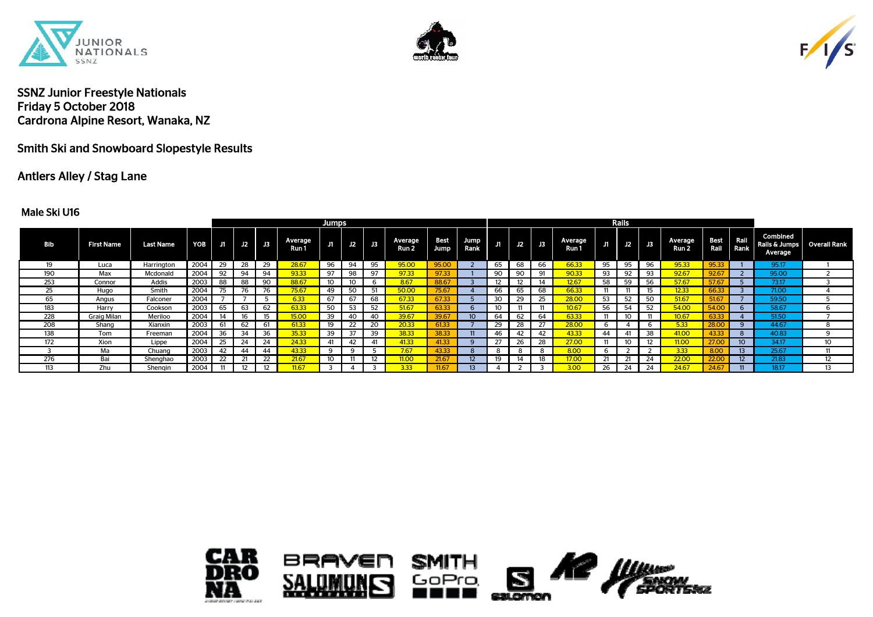





Smith Ski and Snowboard Slopestyle Results

# Antlers Alley / Stag Lane

#### Male Ski U16

|     |                    |                  |                  |    |             |                |                  | <b>Jumps</b> |    |                   |                  |             |                   |     |    |               |                  |    | Rails |    |                             |                     |                  |                                                            |    |
|-----|--------------------|------------------|------------------|----|-------------|----------------|------------------|--------------|----|-------------------|------------------|-------------|-------------------|-----|----|---------------|------------------|----|-------|----|-----------------------------|---------------------|------------------|------------------------------------------------------------|----|
| Bib | <b>First Name</b>  | <b>Last Name</b> | YOB <sub>I</sub> | J1 | $\sqrt{12}$ | $\mathbf{J}$ 3 | Average<br>Run 1 | J1           |    | J2 J3             | Average<br>Run 2 | <b>Jump</b> | Best Jump<br>Rank | J1. | J2 | $\mathsf{J}3$ | Average<br>Run 1 |    | J2    | J3 | Average<br>Run <sub>2</sub> | <b>Best</b><br>Rail | Rail<br>Rank     | <b>Combined</b><br>Rails & Jumps   Overall Rank<br>Average |    |
| 19  | Luca               | Harrington       | 2004             | 29 | 28          | 29             | 28.67            | 96           | 94 | 95                | 95.00            |             |                   | 65  | 68 | 66            | 66.33            | 95 | 95    | 96 | 95.33                       | 95.33               |                  | 95.17                                                      |    |
| 190 | Max                | Mcdonald         | 2004             | 92 | 94          | 94             | 93.33            | 97           | 98 | 97                | 97.33            | 97.33       |                   | 90  | 90 | 91            | 90.33            | 93 | 92    | 93 | 92.67                       | 92.67               |                  | 95.00                                                      |    |
| 253 | Connor             | Addis            | 2003             | 88 | 88          | 90             | 88.67            |              | 10 |                   | 8.67             | 88.67       |                   |     |    |               | 12.67            | 58 |       | 56 | 57.67                       | 57                  |                  | 73.17                                                      |    |
| 25  | Hugo               | Smith            | 2004             |    | 76          | 76             | 75.67            | 49           | 50 | 51                | 50.00            | 75.67       |                   | 66  | 65 | 68            | 66.33            |    |       |    | 12.33                       | 66.33               |                  | 71.00                                                      |    |
| 65  | Angus              | Falconer         | 2004             |    |             |                | 6.33             | 67           | 67 | 68                | 67.33            | 67.33       |                   | 30  | 29 | 25            | <b>28.00</b>     | 53 | 50    |    | 51.67                       | 51.67               |                  | 59.50                                                      |    |
| 183 | Harry              | Cookson          | 2003             | 65 | 63          | 62             | 63.33            | 50           | 53 | 52                | 51.67            | 63.33       |                   |     |    |               | 10.67            | 56 | 54    | 片つ |                             |                     |                  | 58.67                                                      |    |
| 228 | <b>Graig Milan</b> | Meriloo          | 2004             |    |             | 15             | <b>IF OO</b>     | 39           | 40 | 40                | 39.67            | 39.67       |                   | 64  | 62 | 64            | 63.33            |    |       |    |                             |                     |                  | 51.50                                                      |    |
| 208 | Shang              | Xianxin          | 2003             | 61 | 62          | 61             | 51.33            | 19           | 22 | 20                | 20.33            | 61.33       |                   |     |    |               |                  |    |       |    |                             |                     |                  | 44.67                                                      |    |
| 138 | Tom                | Freeman          | 2004             | 36 | 34          | 36             | 35.33            | 39           | 37 | 39                | 38.33            | 38.33       |                   | 46  | 42 | 42            | 43.33            |    |       |    | 41.00                       |                     |                  | 40.83                                                      |    |
| 172 | Xion               | Lippe            | 2004             | 25 | 24          | 24             | 24.33            | 41           | 42 | 41                | 41.33            | 41.33       |                   | 27  | 26 | 28            | 27.00            |    |       |    | 11.00                       | 27.0                |                  | 34.17                                                      | 10 |
|     | Ma                 | Chuang           | 2003             | 42 | 44          | 44             | 13.33            |              |    |                   | 7.67             | 43.33       |                   |     |    | 8             | 8.00             |    |       |    | 3.33                        |                     | 13 <sup>13</sup> | 25.67                                                      |    |
| 276 | Bai                | Shenghao         | 2003             | 22 | 21          | 22             | 21.67            | 10           |    | $12 \overline{ }$ | 11.00            | 21.67       |                   |     | 14 | 18            | 17.00            |    |       | 24 | 22.00                       |                     | 12 <sup>2</sup>  | 21.83                                                      | 12 |
| 113 | Zhu                | Shengin          | 2004             |    |             | 12             |                  |              |    |                   | 3.33             | 11.67       |                   |     |    |               | 200              |    |       |    |                             |                     |                  | 18.17                                                      | 13 |



SА





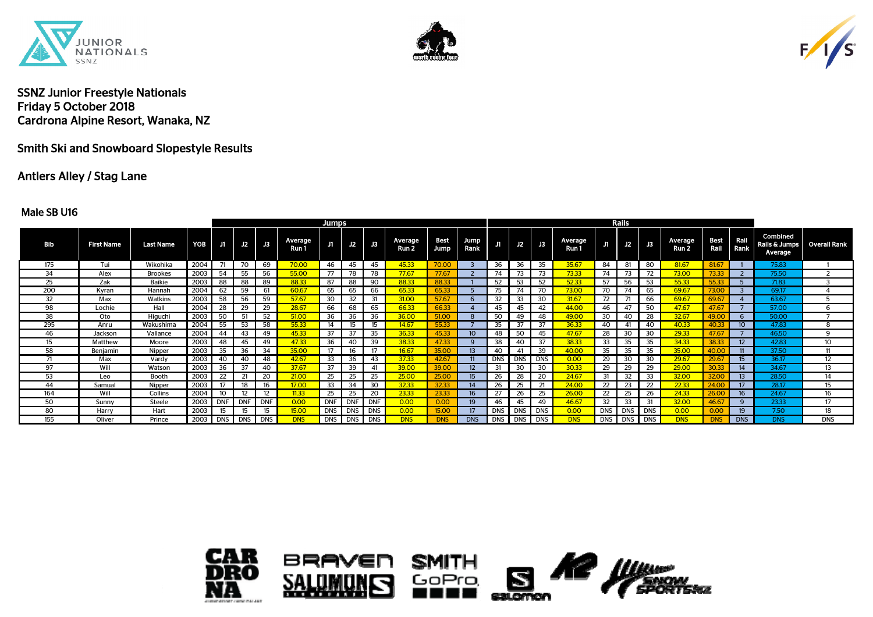





# Smith Ski and Snowboard Slopestyle Results

## Antlers Alley / Stag Lane

#### Male SB U16

|            |                   |                  |      |            |            |                   |                  | <b>Jumps</b> |             |           |                  |              |              |            |     |                |                  |            | Rails      |            |                  |              |                  |                                      |              |
|------------|-------------------|------------------|------|------------|------------|-------------------|------------------|--------------|-------------|-----------|------------------|--------------|--------------|------------|-----|----------------|------------------|------------|------------|------------|------------------|--------------|------------------|--------------------------------------|--------------|
| <b>Bib</b> | <b>First Name</b> | <b>Last Name</b> | YOB  | J1         | J2         | J3                | Average<br>Run 1 | J1           |             | $J2$ $J3$ | Average<br>Run 2 | Best<br>Jump | Jump<br>Rank | J1.        | J2  | J3             | Average<br>Run 1 | J1         | J2         | <b>J3</b>  | Average<br>Run 2 | Best<br>Rail | Rail<br>Rank     | Combined<br>Rails & Jumps<br>Average | Overall Rank |
| 175        | Tui               | Wikohika         | 2004 | -71        | 70         | 69                | 70.00            | 46           | 45          | 45        | 45.33            | 70.00        |              | 36         | 36  | 35             | 35.67            | 84         | 81         | 80         | 81.67            | 81.67        |                  | 75.83                                |              |
| 34         | Alex              | <b>Brookes</b>   | 2003 | 54         | 55         | 56                | 55.00            | 77           | 78          | 78        | 77.67            | 77.67        |              | 74         | 73  | 73             | 73.33            | 74         | 73         | 72         | 73.00            | 73.33        |                  | 75.50                                |              |
| 25         | Zak               | Baikie           | 2003 | 88         | 88         | 89                | 88.33            | 87           | 88          | 90        | 88.33            | 88.33        |              | 52         | 53  | -52            | 52.33            | 57         | 56         | 53         | 55.33            | 55.33        |                  | 71.83                                |              |
| 200        | Kyran             | Hannah           | 2004 | 62         | 59         | 61                | 60.67            | 65           | 65          | 66        | 65.33            | 65.33        |              | 75         |     |                | 73.00            | 70         |            | 65         | 69.67            | 73.00        |                  | 69.17                                |              |
| 32         | Max               | Watkins          | 2003 | 58         | 56         | 59                | 57.67            | 30           | 32          | 31        | 31.00            | 57.67        |              | 32         | 33  | 30             | 31.67            | 72         | 71         | 66         | 69.67            | 69.67        |                  | 63.67                                | -5           |
| 98         | Lochie            | Hall             | 2004 | 28         | 29         | 29                | 28.67            | 66           | 68          | 65        | 66.33            | 66.33        |              | 45         | 45  | 42             | 44.00            | 46         | 47         | 50         | 47.67            | 47.6         |                  | 57.00                                | -6           |
| 38         | Oto               | Higuchi          | 2003 | 50         | 51         | 52                | 51.00            | 36           | 36          | 36        | 36.00            | 51.00        |              | 50         | 49  | 48             | 49.00            | 30         | 40         | 28         | 32.67            | 49.0         |                  | 50.00                                |              |
| 295        | Anru              | Wakushima        | 2004 | 55         | 53         | 58                | 55.33            | 14           | 15          | 15        | 14.67            | 55.33        |              | 35         | -37 | 37             | 36.33            | 40         | 41         | 40         | 40.33            | 40.          | 10 <sup>°</sup>  | 47.83                                | 8            |
| 46         | Jackson           | Vallance         | 2004 | 44         | 43         | 49                | 45.33            | 37           | 37          | 35        | 36.33            | 45.33        |              | 48         | 50  | 45             | 47.67            | 28         | 30         | 30         | 29.33            | 47.6         |                  | 46.50                                | -9           |
| 15         | Matthew           | Moore            | 2003 | 48         | 45         | 49                | 47.33            | 36           | 40          | 39        | 38.33            | 47.33        |              | 38         | 40  | 37             | 38.33            | 33         | 35         | 35         | 34.33            | 38.33        | 12 <sup>2</sup>  | 42.83                                | 10           |
| 58         | Benjamin          | Nipper           | 2003 | 35         | 36         | 34                | 35.00            | 17           | 16          | -17       | 16.67            | 35.00        |              | 40         | 41  | 39             | 40.00            | 35         | 35         | 35         | 35.00            | 40.00        |                  | 37.50                                | -11          |
|            | Max               | Vardy            | 2003 | 40         | 40         | 48                | 42.67            | 33           | 36          | 43        | 37.33            | 42.67        |              | <b>DNS</b> |     | DNS DNS        | 0.00             | 29         | 30         | 30         | 29.67            | 29.67        | 15               | 36.17                                | 12           |
| 97         | Will              | Watson           | 2003 | 36         | -37        | 40                | 37.67            | 37           | 39          |           | <b>39.00</b>     | 39.00        |              | 31         | 30  | 30             | 30.33            | 29         | 29         | 29         | 29.00            | 30.33        | 14               | 34.67                                | 13           |
| 53         | Leo               | Booth            | 2003 | 22         | 21         | 20                | 21.00            | 25           | 25          | 25        | 25.00            | 25.00        |              | 26         | 28  | 20             | 24.67            | 31         | 32         | 33         | 32.00            | 32.00        | 13 <sup>2</sup>  | 28.50                                | 14           |
| 44         | Samual            | Nipper           | 2003 |            | 18         | 16                | 17.00            | 33           | 34          | 30        | 32.33            | 32.33        |              | 26         | 25  | 21             | 24.00            | 22         | 23         | 22         | 22.33            | 24.00        | 17 <sup>2</sup>  | 28.17                                | 15           |
| 164        | Will              | Collins          | 2004 | 10         |            | $12 \overline{ }$ | 11.33            | 25           | 25          | 20        | 23.33            | 23.33        |              | 27         | 26  | 25             | 26.00            | 22         | 25         | 26         | 24.33            | 26.0         | 16 <sup>16</sup> | 24.67                                | 16           |
| 50         | Sunny             | Steele           | 2003 | <b>DNF</b> | <b>DNF</b> | <b>DNF</b>        | 0.00             | <b>DNF</b>   | <b>DNF</b>  | DNF       | 0.00             | 0.00         | 19.          | 46         | 45  | 49             | 46.67            | 32         | 33         | 31         | 32.00            | 46.6         |                  | 23.33                                | 17           |
| 80         | Harry             | Hart             | 2003 | 15         | 15         | 15                | 15.00            |              | DNS DNS DNS |           | 0.00             | 15.00        |              | DNS I      |     | DNS <b>DNS</b> | 0.00             | <b>DNS</b> | <b>DNS</b> | <b>DNS</b> | 0.00             | 0.00         | 19               | 7.50                                 | 18           |
| 155        | Oliver            | Prince           | 2003 | <b>DNS</b> | <b>DNS</b> | <b>DNS</b>        | <b>DNS</b>       |              | DNS DNS DNS |           | <b>DNS</b>       | <b>DNS</b>   | <b>DNS</b>   | DNS I      |     | DNS DNS        | <b>DNS</b>       | <b>DNS</b> | <b>DNS</b> | <b>DNS</b> | <b>DNS</b>       | <b>DNS</b>   | <b>DNS</b>       | <b>DNS</b>                           | <b>DNS</b>   |



SА m





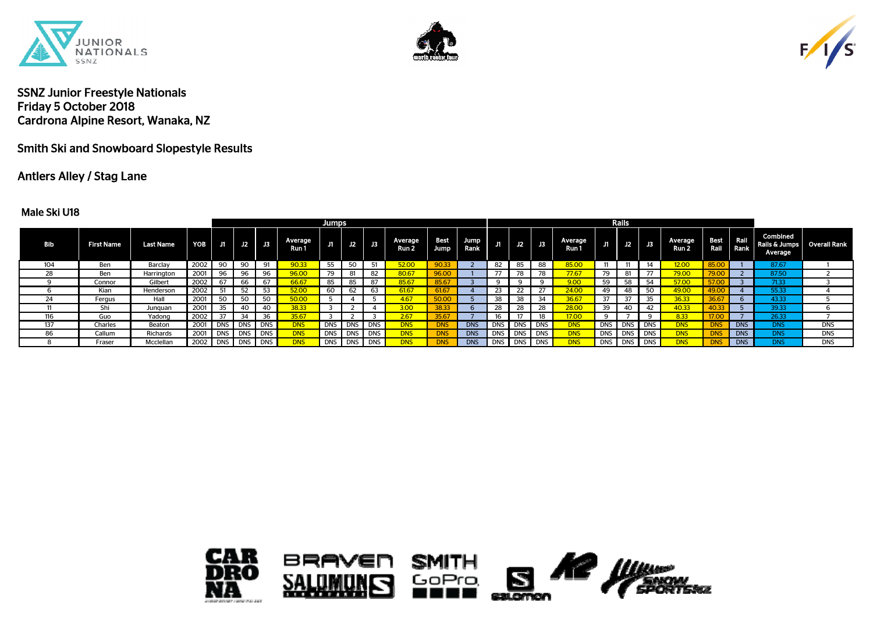





Smith Ski and Snowboard Slopestyle Results

# Antlers Alley / Stag Lane

#### Male Ski U18

|            |                   |                  |      |            |            |            |                  | Jumps |             |    |                  |              |              |     |             |             |                         |    | Rails       |             |                             |              |            |                                             |              |
|------------|-------------------|------------------|------|------------|------------|------------|------------------|-------|-------------|----|------------------|--------------|--------------|-----|-------------|-------------|-------------------------|----|-------------|-------------|-----------------------------|--------------|------------|---------------------------------------------|--------------|
| <b>Bib</b> | <b>First Name</b> | <b>Last Name</b> | YOB  | J1         | J2         | <b>J3</b>  | Average<br>Run 1 |       | $J2$ $J3$   |    | Average<br>Run 2 | Best<br>Jump | Jump<br>Rank | J1. | $\sqrt{12}$ | $\sqrt{B}$  | <b>Average</b><br>Run 1 | Л  | J2          | J3          | Average<br>Run <sub>2</sub> | Best Rail    | Rail Rank  | <b>Combined</b><br>Rails & Jumps<br>Average | Overall Rank |
| 104        | Ben               | Barclay          | 2002 | 90         | 90         | 91         | 90.33            | 55    | 50          | 51 | <b>52.00</b>     | 90.33        |              | 82  | 85          | 88          | <b>85.00</b>            |    |             | 14          | 12.00                       | 85.00        |            | 87.67                                       |              |
| 28         | Ben               | Harrington       | 2001 | 96         | 96         | 96         | 96.00            | 79    |             | 82 | 80.67            | 96.00        |              |     | 78          | 78          | 77.67                   | 79 | 81          | 77          | 79.00                       | <b>79.00</b> |            | 87.50                                       |              |
|            | Connor            | Gilbert          | 2002 | 67         | 66         | 67         | 66.67            | 85    | 85          |    | 85.67            | 85.67        |              |     |             |             | 9.00                    | 59 |             | 54          | 57.00                       |              |            | 71.33                                       |              |
|            | Kian              | Henderson        | 2002 | 51         | 52         | 53         | 52.00            | 60    | 62          | 63 | 61.67            | 61.67        |              | 23  | 22          | 27          | 24.00                   | 49 |             | 50          | 49.00                       | 49.00        |            | 55.33                                       |              |
| 24         | Fergus            | Hall             | 2001 | 50         | 50         | 50         | 50.00            |       |             |    | 4.67             |              |              |     | 38          | 34          | 36.67                   | 37 | 37          | 35          | 36.33                       |              |            | 43.33                                       |              |
|            | Shi               | Junquan          | 2001 | 35         | 40         | 40         | 38.33            |       |             |    | 3.00             | 38.33        |              | 28  | 28          | 28          | <b>28.00</b>            | 39 |             | 42          | 40.33                       |              |            | 39.33                                       |              |
| 116        | Guo               | Yadong           | 2002 | 37         | 34         | 36         | 35.67            |       |             |    | 2.67             | 35.67        |              |     |             | 18          | 17.00                   |    |             |             | 8.33                        |              |            | 26.33                                       |              |
| 137        | Charles           | Beaton           | 2001 | <b>DNS</b> | DNS        | <b>DNS</b> | <b>DNS</b>       |       | DNS DNS DNS |    | <b>DNS</b>       | <b>DNS</b>   | <b>DNS</b>   |     |             | DNS DNS DNS | <b>DNS</b>              |    | DNS DNS DNS |             | <b>DNS</b>                  |              | <b>DNS</b> | <b>DNS</b>                                  | <b>DNS</b>   |
| 86         | Callum            | Richards         | 2001 | <b>DNS</b> | <b>DNS</b> | <b>DNS</b> | <b>DNS</b>       |       | DNS DNS DNS |    | <b>DNS</b>       | <b>DNS</b>   | <b>DNS</b>   |     |             | DNS DNS DNS | <b>DNS</b>              |    | DNS DNS DNS |             | <b>DNS</b>                  |              | <b>DNS</b> | <b>DNS</b>                                  | <b>DNS</b>   |
|            | Fraser            | Mcclellan        | 2002 | <b>DNS</b> | <b>DNS</b> | <b>DNS</b> | dns              |       | DNS DNS DNS |    | <b>DNS</b>       | <b>DNS</b>   | <b>DNS</b>   |     |             | DNS DNS DNS | <b>DNS</b>              |    |             | DNS DNS DNS | <b>DNS</b>                  |              | <b>DNS</b> | <b>DNS</b>                                  | <b>DNS</b>   |